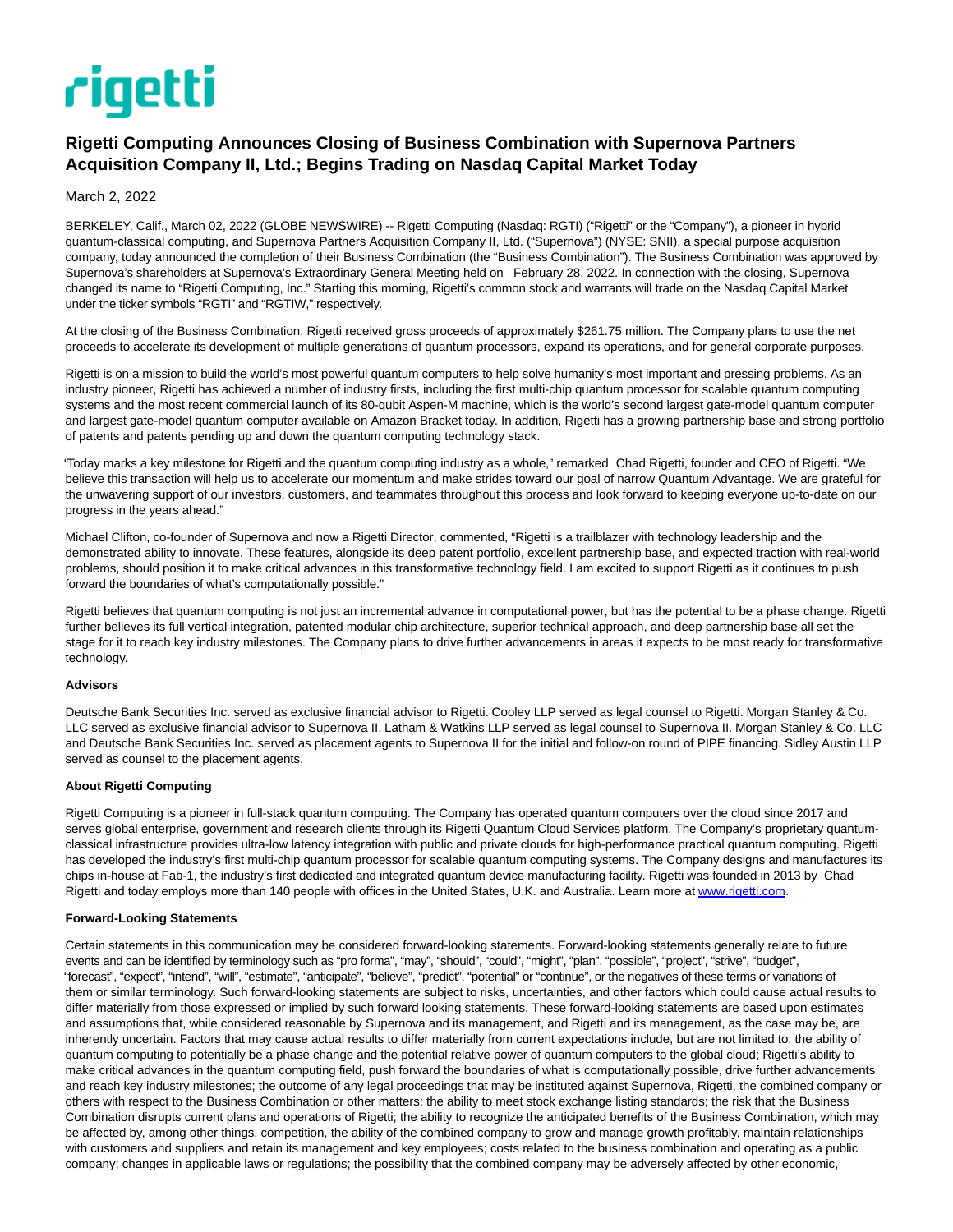# rigetti

# **Rigetti Computing Announces Closing of Business Combination with Supernova Partners Acquisition Company II, Ltd.; Begins Trading on Nasdaq Capital Market Today**

March 2, 2022

BERKELEY, Calif., March 02, 2022 (GLOBE NEWSWIRE) -- Rigetti Computing (Nasdaq: RGTI) ("Rigetti" or the "Company"), a pioneer in hybrid quantum-classical computing, and Supernova Partners Acquisition Company II, Ltd. ("Supernova") (NYSE: SNII), a special purpose acquisition company, today announced the completion of their Business Combination (the "Business Combination"). The Business Combination was approved by Supernova's shareholders at Supernova's Extraordinary General Meeting held on February 28, 2022. In connection with the closing, Supernova changed its name to "Rigetti Computing, Inc." Starting this morning, Rigetti's common stock and warrants will trade on the Nasdaq Capital Market under the ticker symbols "RGTI" and "RGTIW," respectively.

At the closing of the Business Combination, Rigetti received gross proceeds of approximately \$261.75 million. The Company plans to use the net proceeds to accelerate its development of multiple generations of quantum processors, expand its operations, and for general corporate purposes.

Rigetti is on a mission to build the world's most powerful quantum computers to help solve humanity's most important and pressing problems. As an industry pioneer, Rigetti has achieved a number of industry firsts, including the first multi-chip quantum processor for scalable quantum computing systems and the most recent commercial launch of its 80-qubit Aspen-M machine, which is the world's second largest gate-model quantum computer and largest gate-model quantum computer available on Amazon Bracket today. In addition, Rigetti has a growing partnership base and strong portfolio of patents and patents pending up and down the quantum computing technology stack.

"Today marks a key milestone for Rigetti and the quantum computing industry as a whole," remarked Chad Rigetti, founder and CEO of Rigetti. "We believe this transaction will help us to accelerate our momentum and make strides toward our goal of narrow Quantum Advantage. We are grateful for the unwavering support of our investors, customers, and teammates throughout this process and look forward to keeping everyone up-to-date on our progress in the years ahead."

Michael Clifton, co-founder of Supernova and now a Rigetti Director, commented, "Rigetti is a trailblazer with technology leadership and the demonstrated ability to innovate. These features, alongside its deep patent portfolio, excellent partnership base, and expected traction with real-world problems, should position it to make critical advances in this transformative technology field. I am excited to support Rigetti as it continues to push forward the boundaries of what's computationally possible."

Rigetti believes that quantum computing is not just an incremental advance in computational power, but has the potential to be a phase change. Rigetti further believes its full vertical integration, patented modular chip architecture, superior technical approach, and deep partnership base all set the stage for it to reach key industry milestones. The Company plans to drive further advancements in areas it expects to be most ready for transformative technology.

#### **Advisors**

Deutsche Bank Securities Inc. served as exclusive financial advisor to Rigetti. Cooley LLP served as legal counsel to Rigetti. Morgan Stanley & Co. LLC served as exclusive financial advisor to Supernova II. Latham & Watkins LLP served as legal counsel to Supernova II. Morgan Stanley & Co. LLC and Deutsche Bank Securities Inc. served as placement agents to Supernova II for the initial and follow-on round of PIPE financing. Sidley Austin LLP served as counsel to the placement agents.

## **About Rigetti Computing**

Rigetti Computing is a pioneer in full-stack quantum computing. The Company has operated quantum computers over the cloud since 2017 and serves global enterprise, government and research clients through its Rigetti Quantum Cloud Services platform. The Company's proprietary quantumclassical infrastructure provides ultra-low latency integration with public and private clouds for high-performance practical quantum computing. Rigetti has developed the industry's first multi-chip quantum processor for scalable quantum computing systems. The Company designs and manufactures its chips in-house at Fab-1, the industry's first dedicated and integrated quantum device manufacturing facility. Rigetti was founded in 2013 by Chad Rigetti and today employs more than 140 people with offices in the United States, U.K. and Australia. Learn more at [www.rigetti.com.](https://www.globenewswire.com/Tracker?data=IO4p9r-vBA7OrdsM1Mnvipa-KqSW7rNo7itYoA0nlldVQBaeRsImiNFEp2HLfO6pb-Flf6MFIrY1qoV3L5CVuA==)

## **Forward-Looking Statements**

Certain statements in this communication may be considered forward-looking statements. Forward-looking statements generally relate to future events and can be identified by terminology such as "pro forma", "may", "should", "could", "might", "plan", "possible", "project", "strive", "budget", "forecast", "expect", "intend", "will", "estimate", "anticipate", "believe", "predict", "potential" or "continue", or the negatives of these terms or variations of them or similar terminology. Such forward-looking statements are subject to risks, uncertainties, and other factors which could cause actual results to differ materially from those expressed or implied by such forward looking statements. These forward-looking statements are based upon estimates and assumptions that, while considered reasonable by Supernova and its management, and Rigetti and its management, as the case may be, are inherently uncertain. Factors that may cause actual results to differ materially from current expectations include, but are not limited to: the ability of quantum computing to potentially be a phase change and the potential relative power of quantum computers to the global cloud; Rigetti's ability to make critical advances in the quantum computing field, push forward the boundaries of what is computationally possible, drive further advancements and reach key industry milestones; the outcome of any legal proceedings that may be instituted against Supernova, Rigetti, the combined company or others with respect to the Business Combination or other matters; the ability to meet stock exchange listing standards; the risk that the Business Combination disrupts current plans and operations of Rigetti; the ability to recognize the anticipated benefits of the Business Combination, which may be affected by, among other things, competition, the ability of the combined company to grow and manage growth profitably, maintain relationships with customers and suppliers and retain its management and key employees; costs related to the business combination and operating as a public company; changes in applicable laws or regulations; the possibility that the combined company may be adversely affected by other economic,